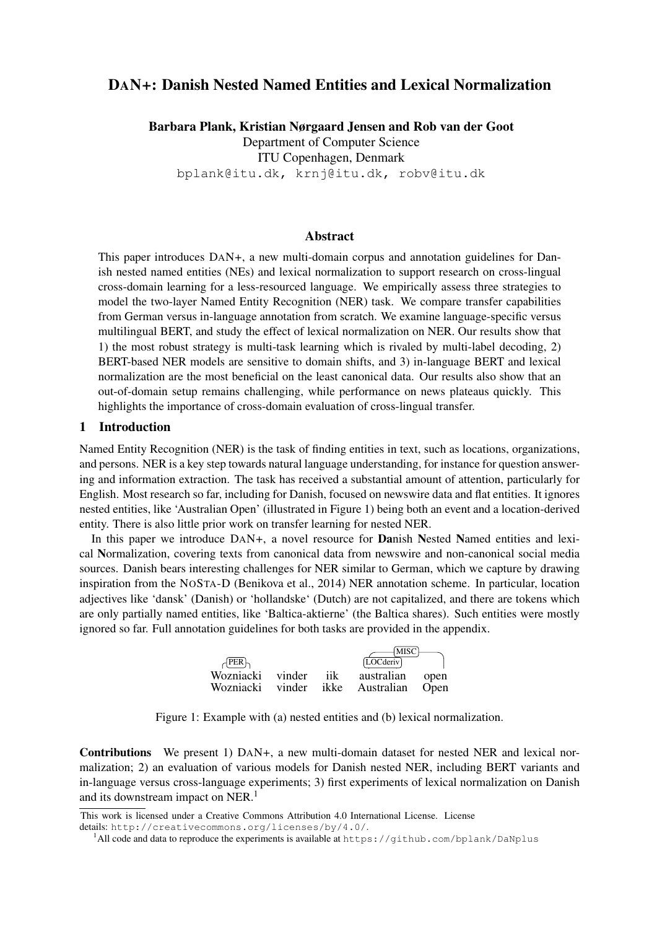# DAN+: Danish Nested Named Entities and Lexical Normalization

Barbara Plank, Kristian Nørgaard Jensen and Rob van der Goot Department of Computer Science ITU Copenhagen, Denmark bplank@itu.dk, krnj@itu.dk, robv@itu.dk

### Abstract

This paper introduces DAN+, a new multi-domain corpus and annotation guidelines for Danish nested named entities (NEs) and lexical normalization to support research on cross-lingual cross-domain learning for a less-resourced language. We empirically assess three strategies to model the two-layer Named Entity Recognition (NER) task. We compare transfer capabilities from German versus in-language annotation from scratch. We examine language-specific versus multilingual BERT, and study the effect of lexical normalization on NER. Our results show that 1) the most robust strategy is multi-task learning which is rivaled by multi-label decoding, 2) BERT-based NER models are sensitive to domain shifts, and 3) in-language BERT and lexical normalization are the most beneficial on the least canonical data. Our results also show that an out-of-domain setup remains challenging, while performance on news plateaus quickly. This highlights the importance of cross-domain evaluation of cross-lingual transfer.

#### 1 Introduction

Named Entity Recognition (NER) is the task of finding entities in text, such as locations, organizations, and persons. NER is a key step towards natural language understanding, for instance for question answering and information extraction. The task has received a substantial amount of attention, particularly for English. Most research so far, including for Danish, focused on newswire data and flat entities. It ignores nested entities, like 'Australian Open' (illustrated in Figure 1) being both an event and a location-derived entity. There is also little prior work on transfer learning for nested NER.

In this paper we introduce DAN+, a novel resource for **Danish Nested Named entities and lexi**cal Normalization, covering texts from canonical data from newswire and non-canonical social media sources. Danish bears interesting challenges for NER similar to German, which we capture by drawing inspiration from the NOSTA-D (Benikova et al., 2014) NER annotation scheme. In particular, location adjectives like 'dansk' (Danish) or 'hollandske' (Dutch) are not capitalized, and there are tokens which are only partially named entities, like 'Baltica-aktierne' (the Baltica shares). Such entities were mostly ignored so far. Full annotation guidelines for both tasks are provided in the appendix.

| $\forall$ PER                        |     | [MISC]<br>[LOCderiv]          |                     |
|--------------------------------------|-----|-------------------------------|---------------------|
| Wozniacki vinder<br>Wozniacki vinder | iik | australian<br>ikke Australian | open<br><b>Open</b> |

Figure 1: Example with (a) nested entities and (b) lexical normalization.

Contributions We present 1) DAN+, a new multi-domain dataset for nested NER and lexical normalization; 2) an evaluation of various models for Danish nested NER, including BERT variants and in-language versus cross-language experiments; 3) first experiments of lexical normalization on Danish and its downstream impact on NER.<sup>1</sup>

This work is licensed under a Creative Commons Attribution 4.0 International License. License

details: http://creativecommons.org/licenses/by/4.0/.

<sup>&</sup>lt;sup>1</sup>All code and data to reproduce the experiments is available at https://github.com/bplank/DaNplus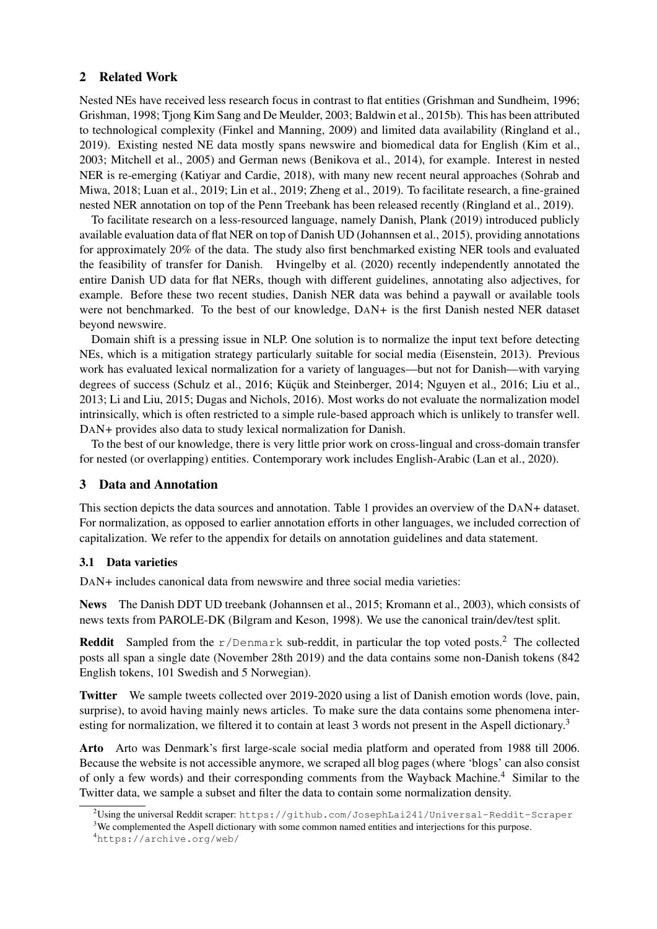## 2 Related Work

Nested NEs have received less research focus in contrast to flat entities (Grishman and Sundheim, 1996; Grishman, 1998; Tjong Kim Sang and De Meulder, 2003; Baldwin et al., 2015b). This has been attributed to technological complexity (Finkel and Manning, 2009) and limited data availability (Ringland et al., 2019). Existing nested NE data mostly spans newswire and biomedical data for English (Kim et al., 2003; Mitchell et al., 2005) and German news (Benikova et al., 2014), for example. Interest in nested NER is re-emerging (Katiyar and Cardie, 2018), with many new recent neural approaches (Sohrab and Miwa, 2018; Luan et al., 2019; Lin et al., 2019; Zheng et al., 2019). To facilitate research, a fine-grained nested NER annotation on top of the Penn Treebank has been released recently (Ringland et al., 2019).

To facilitate research on a less-resourced language, namely Danish, Plank (2019) introduced publicly available evaluation data of flat NER on top of Danish UD (Johannsen et al., 2015), providing annotations for approximately 20% of the data. The study also first benchmarked existing NER tools and evaluated the feasibility of transfer for Danish. Hvingelby et al. (2020) recently independently annotated the entire Danish UD data for flat NERs, though with different guidelines, annotating also adjectives, for example. Before these two recent studies, Danish NER data was behind a paywall or available tools were not benchmarked. To the best of our knowledge, DAN+ is the first Danish nested NER dataset beyond newswire.

Domain shift is a pressing issue in NLP. One solution is to normalize the input text before detecting NEs, which is a mitigation strategy particularly suitable for social media (Eisenstein, 2013). Previous work has evaluated lexical normalization for a variety of languages—but not for Danish—with varying degrees of success (Schulz et al., 2016; Küçük and Steinberger, 2014; Nguyen et al., 2016; Liu et al., 2013; Li and Liu, 2015; Dugas and Nichols, 2016). Most works do not evaluate the normalization model intrinsically, which is often restricted to a simple rule-based approach which is unlikely to transfer well. DAN+ provides also data to study lexical normalization for Danish.

To the best of our knowledge, there is very little prior work on cross-lingual and cross-domain transfer for nested (or overlapping) entities. Contemporary work includes English-Arabic (Lan et al., 2020).

### 3 Data and Annotation

This section depicts the data sources and annotation. Table 1 provides an overview of the DAN+ dataset. For normalization, as opposed to earlier annotation efforts in other languages, we included correction of capitalization. We refer to the appendix for details on annotation guidelines and data statement.

### 3.1 Data varieties

DAN+ includes canonical data from newswire and three social media varieties:

News The Danish DDT UD treebank (Johannsen et al., 2015; Kromann et al., 2003), which consists of news texts from PAROLE-DK (Bilgram and Keson, 1998). We use the canonical train/dev/test split.

**Reddit** Sampled from the  $r/Denmark$  sub-reddit, in particular the top voted posts.<sup>2</sup> The collected posts all span a single date (November 28th 2019) and the data contains some non-Danish tokens (842 English tokens, 101 Swedish and 5 Norwegian).

Twitter We sample tweets collected over 2019-2020 using a list of Danish emotion words (love, pain, surprise), to avoid having mainly news articles. To make sure the data contains some phenomena interesting for normalization, we filtered it to contain at least 3 words not present in the Aspell dictionary.<sup>3</sup>

Arto Arto was Denmark's first large-scale social media platform and operated from 1988 till 2006. Because the website is not accessible anymore, we scraped all blog pages (where 'blogs' can also consist of only a few words) and their corresponding comments from the Wayback Machine.<sup>4</sup> Similar to the Twitter data, we sample a subset and filter the data to contain some normalization density.

<sup>3</sup>We complemented the Aspell dictionary with some common named entities and interjections for this purpose.

 $^2$ Using the universal Reddit scraper: https://github.com/JosephLai241/Universal-Reddit-Scraper

<sup>4</sup>https://archive.org/web/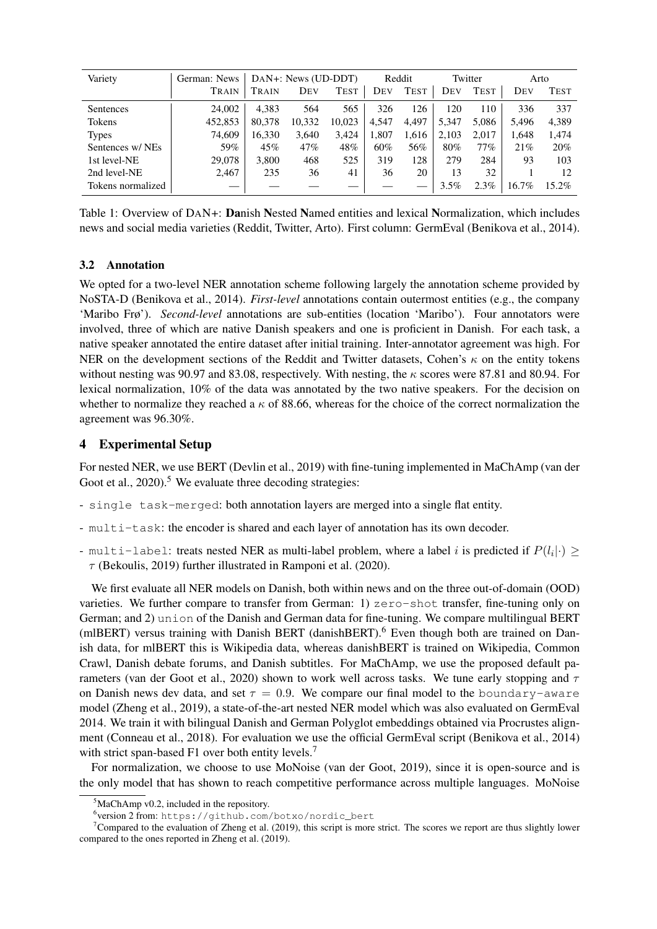| Variety           | German: News | DAN+: News (UD-DDT) |        | Reddit      |       | Twitter     |       | Arto        |       |             |
|-------------------|--------------|---------------------|--------|-------------|-------|-------------|-------|-------------|-------|-------------|
|                   | TRAIN        | TRAIN               | DEV    | <b>TEST</b> | DEV   | <b>TEST</b> | Dev   | <b>TEST</b> | DEV   | <b>TEST</b> |
| Sentences         | 24,002       | 4.383               | 564    | 565         | 326   | 126         | 120   | 110         | 336   | 337         |
| Tokens            | 452,853      | 80,378              | 10,332 | 10.023      | 4,547 | 4,497       | 5,347 | 5.086       | 5,496 | 4,389       |
| <b>Types</b>      | 74.609       | 16,330              | 3,640  | 3.424       | 1,807 | 1,616       | 2,103 | 2.017       | 1.648 | 1,474       |
| Sentences w/NEs   | 59%          | 45%                 | 47%    | 48%         | 60%   | 56%         | 80%   | $77\%$      | 21%   | 20%         |
| 1st level-NE      | 29,078       | 3,800               | 468    | 525         | 319   | 128         | 279   | 284         | 93    | 103         |
| 2nd level-NE      | 2,467        | 235                 | 36     | 41          | 36    | 20          | 13    | 32          |       | 12          |
| Tokens normalized |              |                     |        |             |       |             | 3.5%  | $2.3\%$     | 16.7% | $15.2\%$    |

Table 1: Overview of DAN+: Danish Nested Named entities and lexical Normalization, which includes news and social media varieties (Reddit, Twitter, Arto). First column: GermEval (Benikova et al., 2014).

### 3.2 Annotation

We opted for a two-level NER annotation scheme following largely the annotation scheme provided by NoSTA-D (Benikova et al., 2014). *First-level* annotations contain outermost entities (e.g., the company 'Maribo Frø'). *Second-level* annotations are sub-entities (location 'Maribo'). Four annotators were involved, three of which are native Danish speakers and one is proficient in Danish. For each task, a native speaker annotated the entire dataset after initial training. Inter-annotator agreement was high. For NER on the development sections of the Reddit and Twitter datasets, Cohen's  $\kappa$  on the entity tokens without nesting was 90.97 and 83.08, respectively. With nesting, the  $\kappa$  scores were 87.81 and 80.94. For lexical normalization, 10% of the data was annotated by the two native speakers. For the decision on whether to normalize they reached a  $\kappa$  of 88.66, whereas for the choice of the correct normalization the agreement was 96.30%.

# 4 Experimental Setup

For nested NER, we use BERT (Devlin et al., 2019) with fine-tuning implemented in MaChAmp (van der Goot et al.,  $2020$ .<sup>5</sup> We evaluate three decoding strategies:

- single task-merged: both annotation layers are merged into a single flat entity.
- multi-task: the encoder is shared and each layer of annotation has its own decoder.
- multi-label: treats nested NER as multi-label problem, where a label i is predicted if  $P(l_i|\cdot) \geq$  $\tau$  (Bekoulis, 2019) further illustrated in Ramponi et al. (2020).

We first evaluate all NER models on Danish, both within news and on the three out-of-domain (OOD) varieties. We further compare to transfer from German: 1) zero-shot transfer, fine-tuning only on German; and 2) union of the Danish and German data for fine-tuning. We compare multilingual BERT (mlBERT) versus training with Danish BERT (danishBERT).<sup>6</sup> Even though both are trained on Danish data, for mlBERT this is Wikipedia data, whereas danishBERT is trained on Wikipedia, Common Crawl, Danish debate forums, and Danish subtitles. For MaChAmp, we use the proposed default parameters (van der Goot et al., 2020) shown to work well across tasks. We tune early stopping and  $\tau$ on Danish news dev data, and set  $\tau = 0.9$ . We compare our final model to the boundary-aware model (Zheng et al., 2019), a state-of-the-art nested NER model which was also evaluated on GermEval 2014. We train it with bilingual Danish and German Polyglot embeddings obtained via Procrustes alignment (Conneau et al., 2018). For evaluation we use the official GermEval script (Benikova et al., 2014) with strict span-based F1 over both entity levels.<sup>7</sup>

For normalization, we choose to use MoNoise (van der Goot, 2019), since it is open-source and is the only model that has shown to reach competitive performance across multiple languages. MoNoise

 $5$ MaChAmp v0.2, included in the repository.

<sup>6</sup> version 2 from: https://github.com/botxo/nordic\_bert

<sup>&</sup>lt;sup>7</sup>Compared to the evaluation of Zheng et al. (2019), this script is more strict. The scores we report are thus slightly lower compared to the ones reported in Zheng et al. (2019).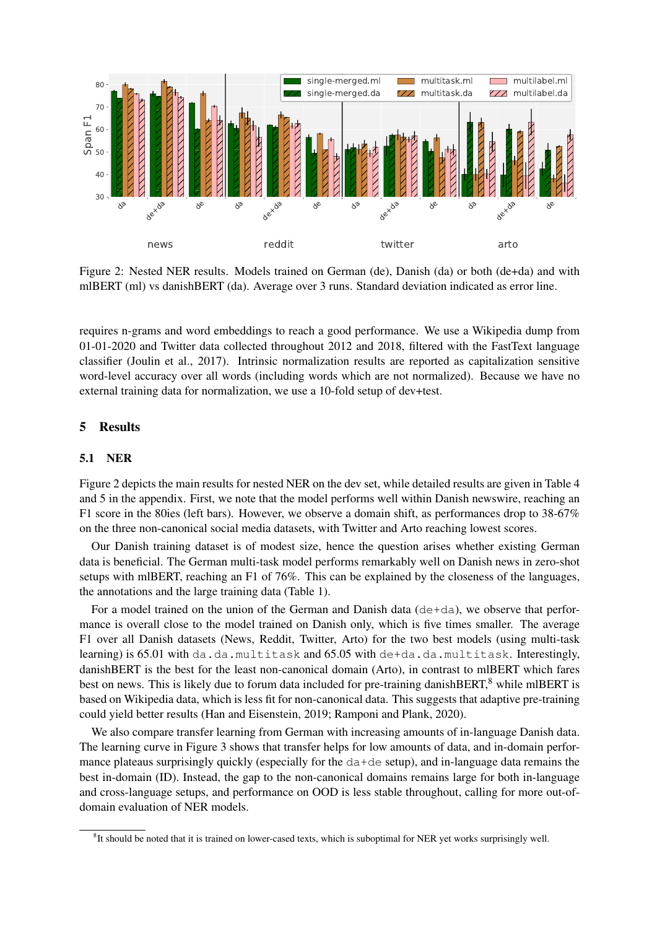

Figure 2: Nested NER results. Models trained on German (de), Danish (da) or both (de+da) and with mlBERT (ml) vs danishBERT (da). Average over 3 runs. Standard deviation indicated as error line.

requires n-grams and word embeddings to reach a good performance. We use a Wikipedia dump from 01-01-2020 and Twitter data collected throughout 2012 and 2018, filtered with the FastText language classifier (Joulin et al., 2017). Intrinsic normalization results are reported as capitalization sensitive word-level accuracy over all words (including words which are not normalized). Because we have no external training data for normalization, we use a 10-fold setup of dev+test.

### 5 Results

#### 5.1 NER

Figure 2 depicts the main results for nested NER on the dev set, while detailed results are given in Table 4 and 5 in the appendix. First, we note that the model performs well within Danish newswire, reaching an F1 score in the 80ies (left bars). However, we observe a domain shift, as performances drop to 38-67% on the three non-canonical social media datasets, with Twitter and Arto reaching lowest scores.

Our Danish training dataset is of modest size, hence the question arises whether existing German data is beneficial. The German multi-task model performs remarkably well on Danish news in zero-shot setups with mlBERT, reaching an F1 of 76%. This can be explained by the closeness of the languages, the annotations and the large training data (Table 1).

For a model trained on the union of the German and Danish data  $(de+da)$ , we observe that performance is overall close to the model trained on Danish only, which is five times smaller. The average F1 over all Danish datasets (News, Reddit, Twitter, Arto) for the two best models (using multi-task learning) is 65.01 with da.da.multitask and 65.05 with de+da.da.multitask. Interestingly, danishBERT is the best for the least non-canonical domain (Arto), in contrast to mlBERT which fares best on news. This is likely due to forum data included for pre-training danishBERT,<sup>8</sup> while mlBERT is based on Wikipedia data, which is less fit for non-canonical data. This suggests that adaptive pre-training could yield better results (Han and Eisenstein, 2019; Ramponi and Plank, 2020).

We also compare transfer learning from German with increasing amounts of in-language Danish data. The learning curve in Figure 3 shows that transfer helps for low amounts of data, and in-domain performance plateaus surprisingly quickly (especially for the da+de setup), and in-language data remains the best in-domain (ID). Instead, the gap to the non-canonical domains remains large for both in-language and cross-language setups, and performance on OOD is less stable throughout, calling for more out-ofdomain evaluation of NER models.

 ${}^{8}$  It should be noted that it is trained on lower-cased texts, which is suboptimal for NER yet works surprisingly well.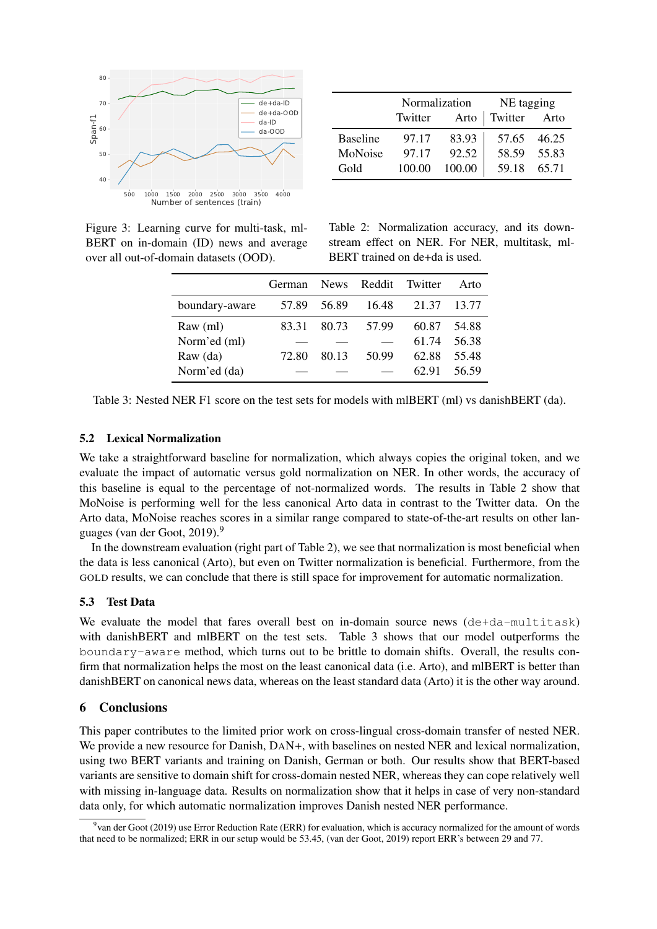

Figure 3: Learning curve for multi-task, ml-BERT on in-domain (ID) news and average over all out-of-domain datasets (OOD).

|                 | Normalization |        | NE tagging  |                     |  |  |
|-----------------|---------------|--------|-------------|---------------------|--|--|
|                 | Twitter       |        |             | Arto   Twitter Arto |  |  |
| <b>Baseline</b> | 97.17         | 83.93  |             | 57.65 46.25         |  |  |
| MoNoise         | 97.17         | 92.52  | 58.59       | 55.83               |  |  |
| Gold            | 100.00        | 100.00 | 59.18 65.71 |                     |  |  |

Table 2: Normalization accuracy, and its downstream effect on NER. For NER, multitask, ml-BERT trained on de+da is used.

|                | <b>German</b> |       | News Reddit | Twitter | Arto  |
|----------------|---------------|-------|-------------|---------|-------|
| boundary-aware | 57.89         | 56.89 | 16.48       | 21.37   | 13.77 |
| Raw (ml)       | 83.31         | 80.73 | 57.99       | 60.87   | 54.88 |
| Norm'ed (ml)   |               |       |             | 61.74   | 56.38 |
| Raw (da)       | 72.80         | 80.13 | 50.99       | 62.88   | 55.48 |
| Norm'ed (da)   |               |       |             | 62.91   | 56.59 |

Table 3: Nested NER F1 score on the test sets for models with mlBERT (ml) vs danishBERT (da).

#### 5.2 Lexical Normalization

We take a straightforward baseline for normalization, which always copies the original token, and we evaluate the impact of automatic versus gold normalization on NER. In other words, the accuracy of this baseline is equal to the percentage of not-normalized words. The results in Table 2 show that MoNoise is performing well for the less canonical Arto data in contrast to the Twitter data. On the Arto data, MoNoise reaches scores in a similar range compared to state-of-the-art results on other languages (van der Goot, 2019).<sup>9</sup>

In the downstream evaluation (right part of Table 2), we see that normalization is most beneficial when the data is less canonical (Arto), but even on Twitter normalization is beneficial. Furthermore, from the GOLD results, we can conclude that there is still space for improvement for automatic normalization.

#### 5.3 Test Data

We evaluate the model that fares overall best on in-domain source news (de+da-multitask) with danishBERT and mlBERT on the test sets. Table 3 shows that our model outperforms the boundary-aware method, which turns out to be brittle to domain shifts. Overall, the results confirm that normalization helps the most on the least canonical data (i.e. Arto), and mlBERT is better than danishBERT on canonical news data, whereas on the least standard data (Arto) it is the other way around.

### 6 Conclusions

This paper contributes to the limited prior work on cross-lingual cross-domain transfer of nested NER. We provide a new resource for Danish, DAN+, with baselines on nested NER and lexical normalization, using two BERT variants and training on Danish, German or both. Our results show that BERT-based variants are sensitive to domain shift for cross-domain nested NER, whereas they can cope relatively well with missing in-language data. Results on normalization show that it helps in case of very non-standard data only, for which automatic normalization improves Danish nested NER performance.

<sup>&</sup>lt;sup>9</sup> van der Goot (2019) use Error Reduction Rate (ERR) for evaluation, which is accuracy normalized for the amount of words that need to be normalized; ERR in our setup would be 53.45, (van der Goot, 2019) report ERR's between 29 and 77.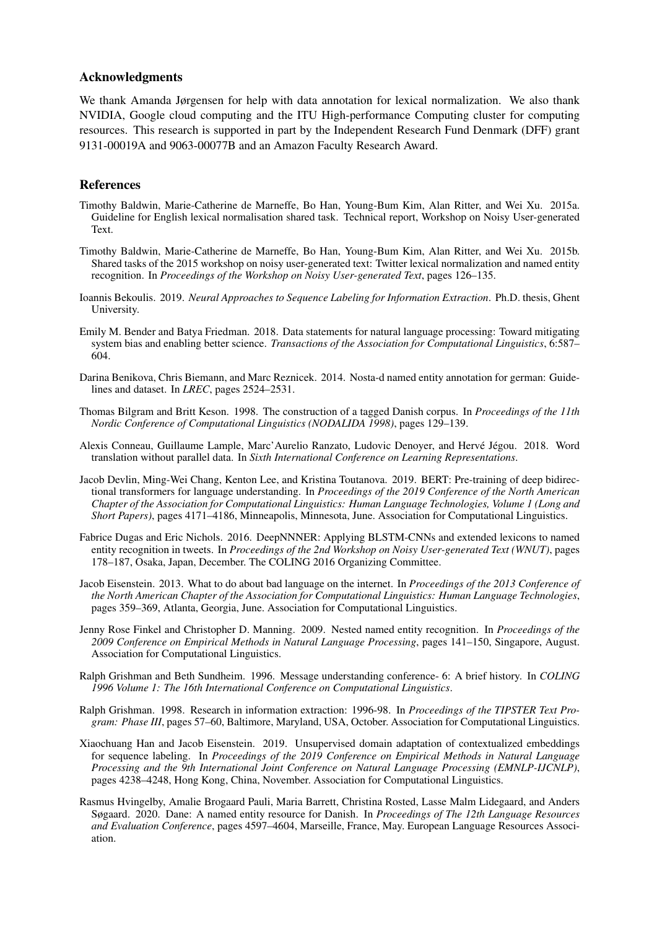#### Acknowledgments

We thank Amanda Jørgensen for help with data annotation for lexical normalization. We also thank NVIDIA, Google cloud computing and the ITU High-performance Computing cluster for computing resources. This research is supported in part by the Independent Research Fund Denmark (DFF) grant 9131-00019A and 9063-00077B and an Amazon Faculty Research Award.

#### References

- Timothy Baldwin, Marie-Catherine de Marneffe, Bo Han, Young-Bum Kim, Alan Ritter, and Wei Xu. 2015a. Guideline for English lexical normalisation shared task. Technical report, Workshop on Noisy User-generated Text.
- Timothy Baldwin, Marie-Catherine de Marneffe, Bo Han, Young-Bum Kim, Alan Ritter, and Wei Xu. 2015b. Shared tasks of the 2015 workshop on noisy user-generated text: Twitter lexical normalization and named entity recognition. In *Proceedings of the Workshop on Noisy User-generated Text*, pages 126–135.
- Ioannis Bekoulis. 2019. *Neural Approaches to Sequence Labeling for Information Extraction*. Ph.D. thesis, Ghent University.
- Emily M. Bender and Batya Friedman. 2018. Data statements for natural language processing: Toward mitigating system bias and enabling better science. *Transactions of the Association for Computational Linguistics*, 6:587– 604.
- Darina Benikova, Chris Biemann, and Marc Reznicek. 2014. Nosta-d named entity annotation for german: Guidelines and dataset. In *LREC*, pages 2524–2531.
- Thomas Bilgram and Britt Keson. 1998. The construction of a tagged Danish corpus. In *Proceedings of the 11th Nordic Conference of Computational Linguistics (NODALIDA 1998)*, pages 129–139.
- Alexis Conneau, Guillaume Lample, Marc'Aurelio Ranzato, Ludovic Denoyer, and Hervé Jégou. 2018. Word translation without parallel data. In *Sixth International Conference on Learning Representations*.
- Jacob Devlin, Ming-Wei Chang, Kenton Lee, and Kristina Toutanova. 2019. BERT: Pre-training of deep bidirectional transformers for language understanding. In *Proceedings of the 2019 Conference of the North American Chapter of the Association for Computational Linguistics: Human Language Technologies, Volume 1 (Long and Short Papers)*, pages 4171–4186, Minneapolis, Minnesota, June. Association for Computational Linguistics.
- Fabrice Dugas and Eric Nichols. 2016. DeepNNNER: Applying BLSTM-CNNs and extended lexicons to named entity recognition in tweets. In *Proceedings of the 2nd Workshop on Noisy User-generated Text (WNUT)*, pages 178–187, Osaka, Japan, December. The COLING 2016 Organizing Committee.
- Jacob Eisenstein. 2013. What to do about bad language on the internet. In *Proceedings of the 2013 Conference of the North American Chapter of the Association for Computational Linguistics: Human Language Technologies*, pages 359–369, Atlanta, Georgia, June. Association for Computational Linguistics.
- Jenny Rose Finkel and Christopher D. Manning. 2009. Nested named entity recognition. In *Proceedings of the 2009 Conference on Empirical Methods in Natural Language Processing*, pages 141–150, Singapore, August. Association for Computational Linguistics.
- Ralph Grishman and Beth Sundheim. 1996. Message understanding conference- 6: A brief history. In *COLING 1996 Volume 1: The 16th International Conference on Computational Linguistics*.
- Ralph Grishman. 1998. Research in information extraction: 1996-98. In *Proceedings of the TIPSTER Text Program: Phase III*, pages 57–60, Baltimore, Maryland, USA, October. Association for Computational Linguistics.
- Xiaochuang Han and Jacob Eisenstein. 2019. Unsupervised domain adaptation of contextualized embeddings for sequence labeling. In *Proceedings of the 2019 Conference on Empirical Methods in Natural Language Processing and the 9th International Joint Conference on Natural Language Processing (EMNLP-IJCNLP)*, pages 4238–4248, Hong Kong, China, November. Association for Computational Linguistics.
- Rasmus Hvingelby, Amalie Brogaard Pauli, Maria Barrett, Christina Rosted, Lasse Malm Lidegaard, and Anders Søgaard. 2020. Dane: A named entity resource for Danish. In *Proceedings of The 12th Language Resources and Evaluation Conference*, pages 4597–4604, Marseille, France, May. European Language Resources Association.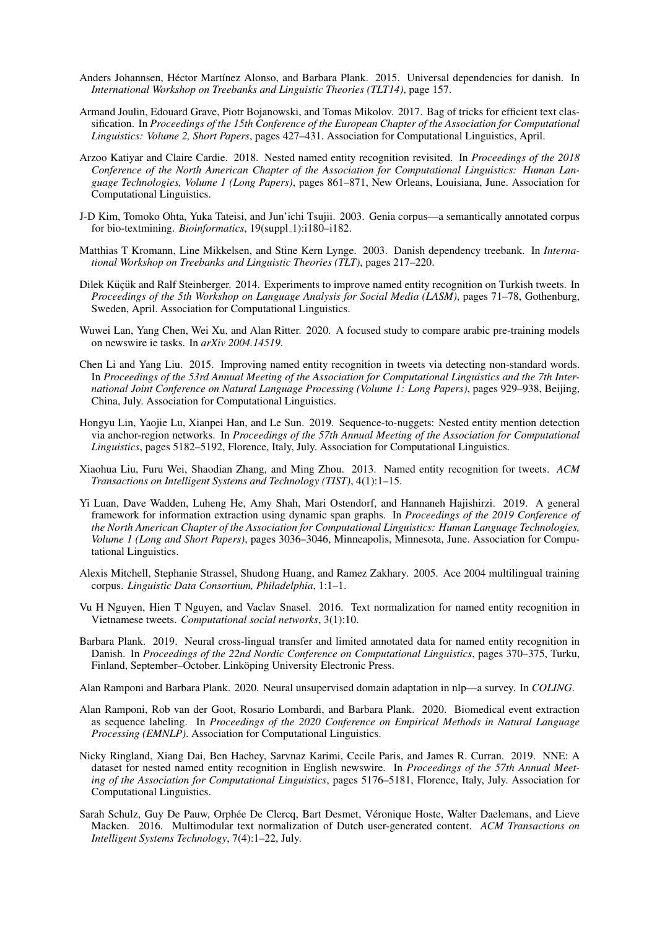- Anders Johannsen, Héctor Martínez Alonso, and Barbara Plank. 2015. Universal dependencies for danish. In *International Workshop on Treebanks and Linguistic Theories (TLT14)*, page 157.
- Armand Joulin, Edouard Grave, Piotr Bojanowski, and Tomas Mikolov. 2017. Bag of tricks for efficient text classification. In *Proceedings of the 15th Conference of the European Chapter of the Association for Computational Linguistics: Volume 2, Short Papers*, pages 427–431. Association for Computational Linguistics, April.
- Arzoo Katiyar and Claire Cardie. 2018. Nested named entity recognition revisited. In *Proceedings of the 2018 Conference of the North American Chapter of the Association for Computational Linguistics: Human Language Technologies, Volume 1 (Long Papers)*, pages 861–871, New Orleans, Louisiana, June. Association for Computational Linguistics.
- J-D Kim, Tomoko Ohta, Yuka Tateisi, and Jun'ichi Tsujii. 2003. Genia corpus—a semantically annotated corpus for bio-textmining. *Bioinformatics*, 19(suppl\_1):i180–i182.
- Matthias T Kromann, Line Mikkelsen, and Stine Kern Lynge. 2003. Danish dependency treebank. In *International Workshop on Treebanks and Linguistic Theories (TLT)*, pages 217–220.
- Dilek Küçük and Ralf Steinberger. 2014. Experiments to improve named entity recognition on Turkish tweets. In *Proceedings of the 5th Workshop on Language Analysis for Social Media (LASM)*, pages 71–78, Gothenburg, Sweden, April. Association for Computational Linguistics.
- Wuwei Lan, Yang Chen, Wei Xu, and Alan Ritter. 2020. A focused study to compare arabic pre-training models on newswire ie tasks. In *arXiv 2004.14519*.
- Chen Li and Yang Liu. 2015. Improving named entity recognition in tweets via detecting non-standard words. In *Proceedings of the 53rd Annual Meeting of the Association for Computational Linguistics and the 7th International Joint Conference on Natural Language Processing (Volume 1: Long Papers)*, pages 929–938, Beijing, China, July. Association for Computational Linguistics.
- Hongyu Lin, Yaojie Lu, Xianpei Han, and Le Sun. 2019. Sequence-to-nuggets: Nested entity mention detection via anchor-region networks. In *Proceedings of the 57th Annual Meeting of the Association for Computational Linguistics*, pages 5182–5192, Florence, Italy, July. Association for Computational Linguistics.
- Xiaohua Liu, Furu Wei, Shaodian Zhang, and Ming Zhou. 2013. Named entity recognition for tweets. *ACM Transactions on Intelligent Systems and Technology (TIST)*, 4(1):1–15.
- Yi Luan, Dave Wadden, Luheng He, Amy Shah, Mari Ostendorf, and Hannaneh Hajishirzi. 2019. A general framework for information extraction using dynamic span graphs. In *Proceedings of the 2019 Conference of the North American Chapter of the Association for Computational Linguistics: Human Language Technologies, Volume 1 (Long and Short Papers)*, pages 3036–3046, Minneapolis, Minnesota, June. Association for Computational Linguistics.
- Alexis Mitchell, Stephanie Strassel, Shudong Huang, and Ramez Zakhary. 2005. Ace 2004 multilingual training corpus. *Linguistic Data Consortium, Philadelphia*, 1:1–1.
- Vu H Nguyen, Hien T Nguyen, and Vaclav Snasel. 2016. Text normalization for named entity recognition in Vietnamese tweets. *Computational social networks*, 3(1):10.
- Barbara Plank. 2019. Neural cross-lingual transfer and limited annotated data for named entity recognition in Danish. In *Proceedings of the 22nd Nordic Conference on Computational Linguistics*, pages 370–375, Turku, Finland, September–October. Linköping University Electronic Press.

Alan Ramponi and Barbara Plank. 2020. Neural unsupervised domain adaptation in nlp—a survey. In *COLING*.

- Alan Ramponi, Rob van der Goot, Rosario Lombardi, and Barbara Plank. 2020. Biomedical event extraction as sequence labeling. In *Proceedings of the 2020 Conference on Empirical Methods in Natural Language Processing (EMNLP)*. Association for Computational Linguistics.
- Nicky Ringland, Xiang Dai, Ben Hachey, Sarvnaz Karimi, Cecile Paris, and James R. Curran. 2019. NNE: A dataset for nested named entity recognition in English newswire. In *Proceedings of the 57th Annual Meeting of the Association for Computational Linguistics*, pages 5176–5181, Florence, Italy, July. Association for Computational Linguistics.
- Sarah Schulz, Guy De Pauw, Orphée De Clercq, Bart Desmet, Véronique Hoste, Walter Daelemans, and Lieve Macken. 2016. Multimodular text normalization of Dutch user-generated content. *ACM Transactions on Intelligent Systems Technology*, 7(4):1–22, July.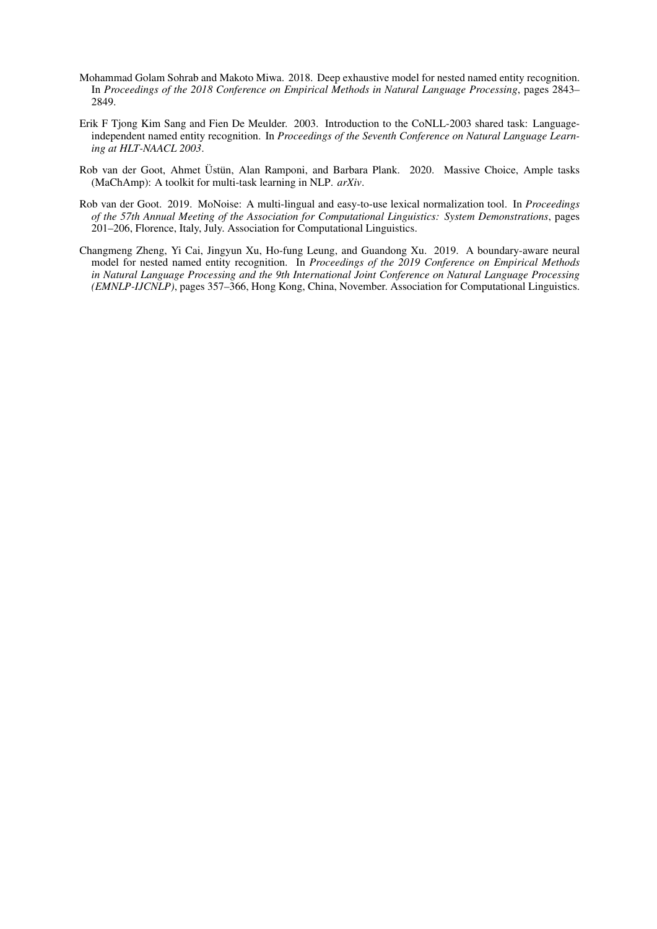- Mohammad Golam Sohrab and Makoto Miwa. 2018. Deep exhaustive model for nested named entity recognition. In *Proceedings of the 2018 Conference on Empirical Methods in Natural Language Processing*, pages 2843– 2849.
- Erik F Tjong Kim Sang and Fien De Meulder. 2003. Introduction to the CoNLL-2003 shared task: Languageindependent named entity recognition. In *Proceedings of the Seventh Conference on Natural Language Learning at HLT-NAACL 2003*.
- Rob van der Goot, Ahmet Üstün, Alan Ramponi, and Barbara Plank. 2020. Massive Choice, Ample tasks (MaChAmp): A toolkit for multi-task learning in NLP. *arXiv*.
- Rob van der Goot. 2019. MoNoise: A multi-lingual and easy-to-use lexical normalization tool. In *Proceedings of the 57th Annual Meeting of the Association for Computational Linguistics: System Demonstrations*, pages 201–206, Florence, Italy, July. Association for Computational Linguistics.
- Changmeng Zheng, Yi Cai, Jingyun Xu, Ho-fung Leung, and Guandong Xu. 2019. A boundary-aware neural model for nested named entity recognition. In *Proceedings of the 2019 Conference on Empirical Methods in Natural Language Processing and the 9th International Joint Conference on Natural Language Processing (EMNLP-IJCNLP)*, pages 357–366, Hong Kong, China, November. Association for Computational Linguistics.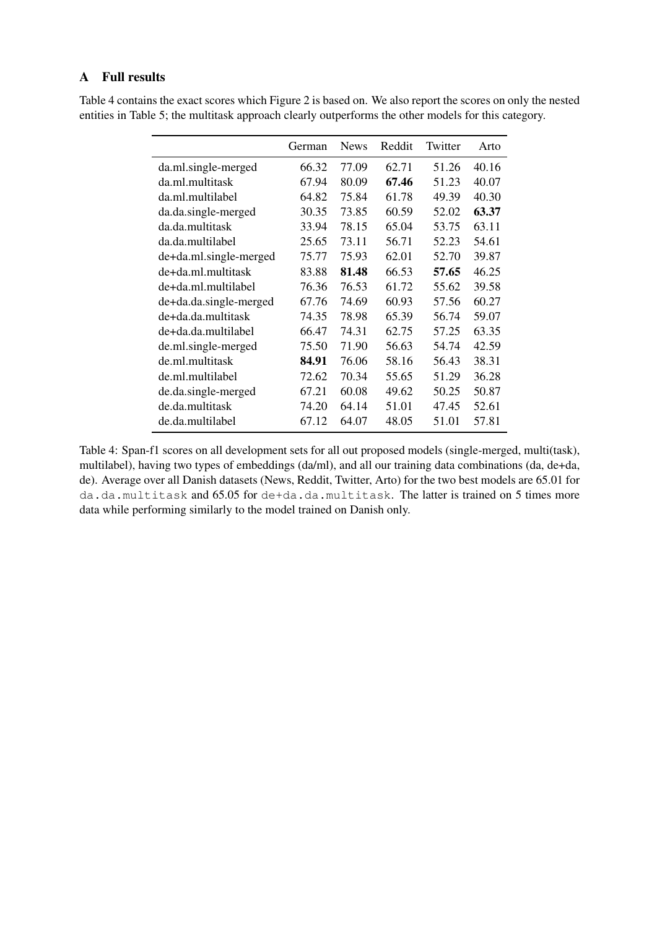### A Full results

|                        | German | <b>News</b> | Reddit | Twitter | Arto  |
|------------------------|--------|-------------|--------|---------|-------|
| da.ml.single-merged    | 66.32  | 77.09       | 62.71  | 51.26   | 40.16 |
| da.ml.multitask        | 67.94  | 80.09       | 67.46  | 51.23   | 40.07 |
| da.ml.multilabel       | 64.82  | 75.84       | 61.78  | 49.39   | 40.30 |
| da.da.single-merged    | 30.35  | 73.85       | 60.59  | 52.02   | 63.37 |
| da.da.multitask        | 33.94  | 78.15       | 65.04  | 53.75   | 63.11 |
| da.da.multilabel       | 25.65  | 73.11       | 56.71  | 52.23   | 54.61 |
| de+da.ml.single-merged | 75.77  | 75.93       | 62.01  | 52.70   | 39.87 |
| de+da.ml.multitask     | 83.88  | 81.48       | 66.53  | 57.65   | 46.25 |
| de+da.ml.multilabel    | 76.36  | 76.53       | 61.72  | 55.62   | 39.58 |
| de+da.da.single-merged | 67.76  | 74.69       | 60.93  | 57.56   | 60.27 |
| de+da.da.multitask     | 74.35  | 78.98       | 65.39  | 56.74   | 59.07 |
| de+da.da.multilabel    | 66.47  | 74.31       | 62.75  | 57.25   | 63.35 |
| de.ml.single-merged    | 75.50  | 71.90       | 56.63  | 54.74   | 42.59 |
| de.ml.multitask        | 84.91  | 76.06       | 58.16  | 56.43   | 38.31 |
| de.ml.multilabel       | 72.62  | 70.34       | 55.65  | 51.29   | 36.28 |
| de.da.single-merged    | 67.21  | 60.08       | 49.62  | 50.25   | 50.87 |
| de.da.multitask        | 74.20  | 64.14       | 51.01  | 47.45   | 52.61 |
| de.da.multilabel       | 67.12  | 64.07       | 48.05  | 51.01   | 57.81 |

Table 4 contains the exact scores which Figure 2 is based on. We also report the scores on only the nested entities in Table 5; the multitask approach clearly outperforms the other models for this category.

Table 4: Span-f1 scores on all development sets for all out proposed models (single-merged, multi(task), multilabel), having two types of embeddings (da/ml), and all our training data combinations (da, de+da, de). Average over all Danish datasets (News, Reddit, Twitter, Arto) for the two best models are 65.01 for da.da.multitask and 65.05 for de+da.da.multitask. The latter is trained on 5 times more data while performing similarly to the model trained on Danish only.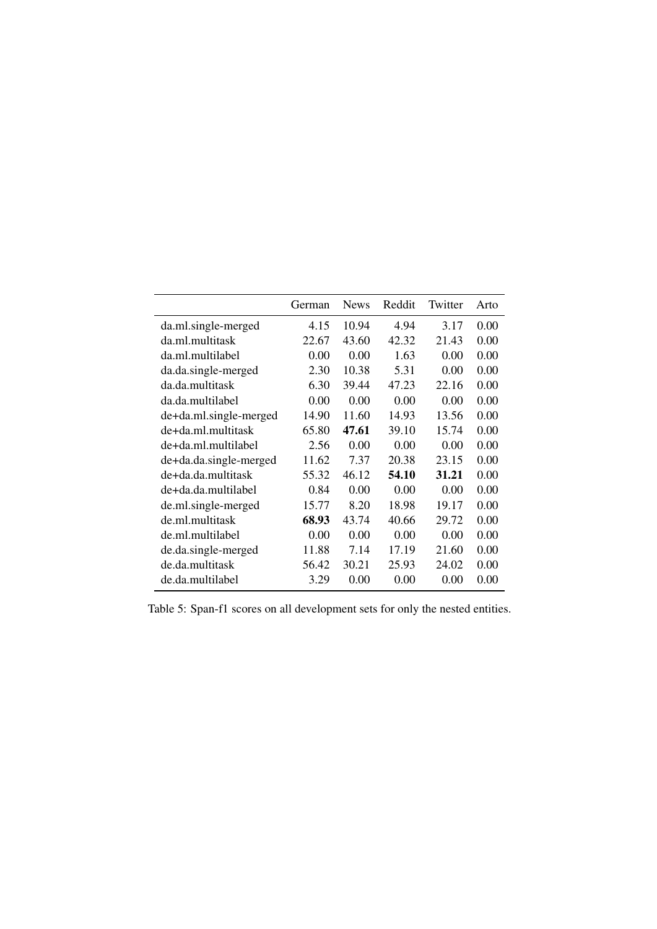|                        | German | <b>News</b> | Reddit | Twitter | Arto |
|------------------------|--------|-------------|--------|---------|------|
| da.ml.single-merged    | 4.15   | 10.94       | 4.94   | 3.17    | 0.00 |
| da.ml.multitask        | 22.67  | 43.60       | 42.32  | 21.43   | 0.00 |
| da.ml.multilabel       | 0.00   | 0.00        | 1.63   | 0.00    | 0.00 |
| da.da.single-merged    | 2.30   | 10.38       | 5.31   | 0.00    | 0.00 |
| da.da.multitask        | 6.30   | 39.44       | 47.23  | 22.16   | 0.00 |
| da.da.multilabel       | 0.00   | 0.00        | 0.00   | 0.00    | 0.00 |
| de+da.ml.single-merged | 14.90  | 11.60       | 14.93  | 13.56   | 0.00 |
| de+da.ml.multitask     | 65.80  | 47.61       | 39.10  | 15.74   | 0.00 |
| de+da.ml.multilabel    | 2.56   | 0.00        | 0.00   | 0.00    | 0.00 |
| de+da.da.single-merged | 11.62  | 7.37        | 20.38  | 23.15   | 0.00 |
| de+da.da.multitask     | 55.32  | 46.12       | 54.10  | 31.21   | 0.00 |
| de+da.da.multilabel    | 0.84   | 0.00        | 0.00   | 0.00    | 0.00 |
| de.ml.single-merged    | 15.77  | 8.20        | 18.98  | 19.17   | 0.00 |
| de.ml.multitask        | 68.93  | 43.74       | 40.66  | 29.72   | 0.00 |
| de.ml.multilabel       | 0.00   | 0.00        | 0.00   | 0.00    | 0.00 |
| de.da.single-merged    | 11.88  | 7.14        | 17.19  | 21.60   | 0.00 |
| de.da.multitask        | 56.42  | 30.21       | 25.93  | 24.02   | 0.00 |
| de.da.multilabel       | 3.29   | 0.00        | 0.00   | 0.00    | 0.00 |

Table 5: Span-f1 scores on all development sets for only the nested entities.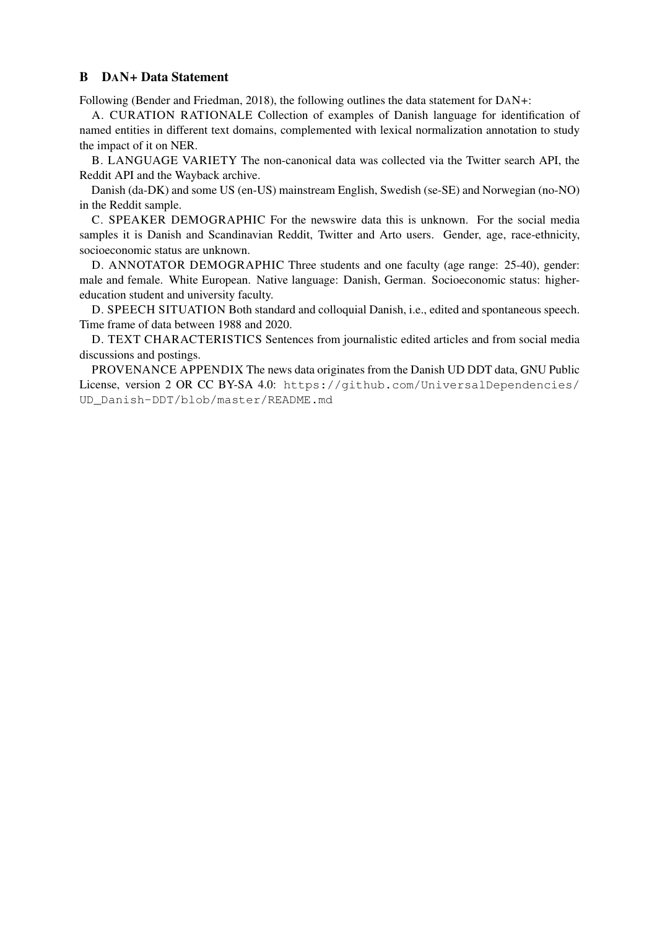### B DAN+ Data Statement

Following (Bender and Friedman, 2018), the following outlines the data statement for DAN+:

A. CURATION RATIONALE Collection of examples of Danish language for identification of named entities in different text domains, complemented with lexical normalization annotation to study the impact of it on NER.

B. LANGUAGE VARIETY The non-canonical data was collected via the Twitter search API, the Reddit API and the Wayback archive.

Danish (da-DK) and some US (en-US) mainstream English, Swedish (se-SE) and Norwegian (no-NO) in the Reddit sample.

C. SPEAKER DEMOGRAPHIC For the newswire data this is unknown. For the social media samples it is Danish and Scandinavian Reddit, Twitter and Arto users. Gender, age, race-ethnicity, socioeconomic status are unknown.

D. ANNOTATOR DEMOGRAPHIC Three students and one faculty (age range: 25-40), gender: male and female. White European. Native language: Danish, German. Socioeconomic status: highereducation student and university faculty.

D. SPEECH SITUATION Both standard and colloquial Danish, i.e., edited and spontaneous speech. Time frame of data between 1988 and 2020.

D. TEXT CHARACTERISTICS Sentences from journalistic edited articles and from social media discussions and postings.

PROVENANCE APPENDIX The news data originates from the Danish UD DDT data, GNU Public License, version 2 OR CC BY-SA 4.0: https://github.com/UniversalDependencies/ UD\_Danish-DDT/blob/master/README.md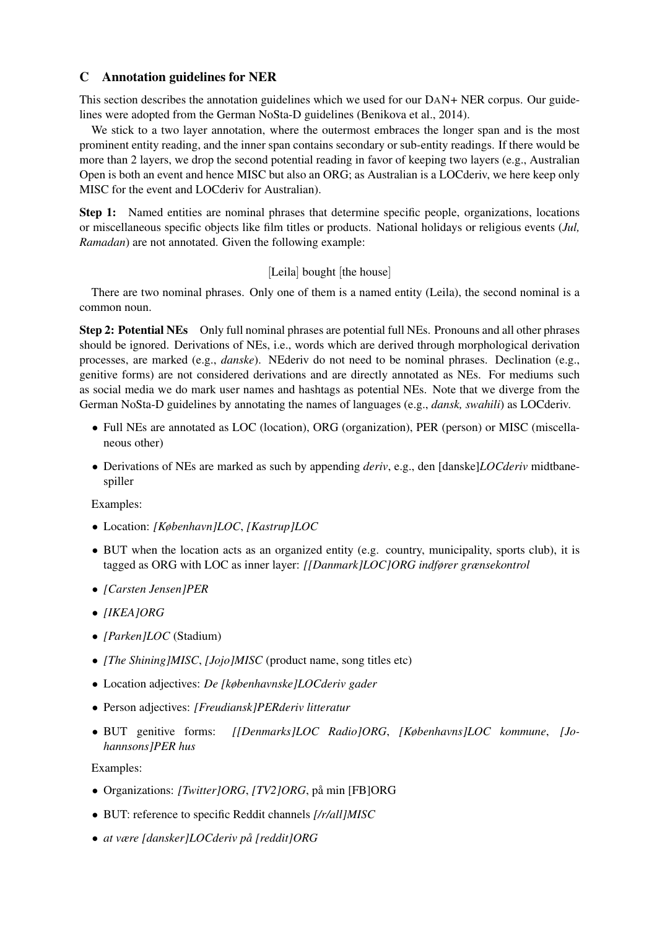### C Annotation guidelines for NER

This section describes the annotation guidelines which we used for our DAN+ NER corpus. Our guidelines were adopted from the German NoSta-D guidelines (Benikova et al., 2014).

We stick to a two layer annotation, where the outermost embraces the longer span and is the most prominent entity reading, and the inner span contains secondary or sub-entity readings. If there would be more than 2 layers, we drop the second potential reading in favor of keeping two layers (e.g., Australian Open is both an event and hence MISC but also an ORG; as Australian is a LOCderiv, we here keep only MISC for the event and LOCderiv for Australian).

Step 1: Named entities are nominal phrases that determine specific people, organizations, locations or miscellaneous specific objects like film titles or products. National holidays or religious events (*Jul, Ramadan*) are not annotated. Given the following example:

### [Leila] bought [the house]

There are two nominal phrases. Only one of them is a named entity (Leila), the second nominal is a common noun.

Step 2: Potential NEs Only full nominal phrases are potential full NEs. Pronouns and all other phrases should be ignored. Derivations of NEs, i.e., words which are derived through morphological derivation processes, are marked (e.g., *danske*). NEderiv do not need to be nominal phrases. Declination (e.g., genitive forms) are not considered derivations and are directly annotated as NEs. For mediums such as social media we do mark user names and hashtags as potential NEs. Note that we diverge from the German NoSta-D guidelines by annotating the names of languages (e.g., *dansk, swahili*) as LOCderiv.

- Full NEs are annotated as LOC (location), ORG (organization), PER (person) or MISC (miscellaneous other)
- Derivations of NEs are marked as such by appending *deriv*, e.g., den [danske]*LOCderiv* midtbanespiller

Examples:

- Location: *[København]LOC*, *[Kastrup]LOC*
- BUT when the location acts as an organized entity (e.g. country, municipality, sports club), it is tagged as ORG with LOC as inner layer: *[[Danmark]LOC]ORG indfører grænsekontrol*
- *[Carsten Jensen]PER*
- *[IKEA]ORG*
- *[Parken]LOC* (Stadium)
- *[The Shining]MISC*, *[Jojo]MISC* (product name, song titles etc)
- Location adjectives: *De [københavnske]LOCderiv gader*
- Person adjectives: *[Freudiansk]PERderiv litteratur*
- BUT genitive forms: *[[Denmarks]LOC Radio]ORG*, *[Københavns]LOC kommune*, *[Johannsons]PER hus*

Examples:

- Organizations: *[Twitter]ORG*, *[TV2]ORG*, på min [FB]ORG
- BUT: reference to specific Reddit channels *[/r/all]MISC*
- *at være [dansker]LOCderiv pa [reddit]ORG ˚*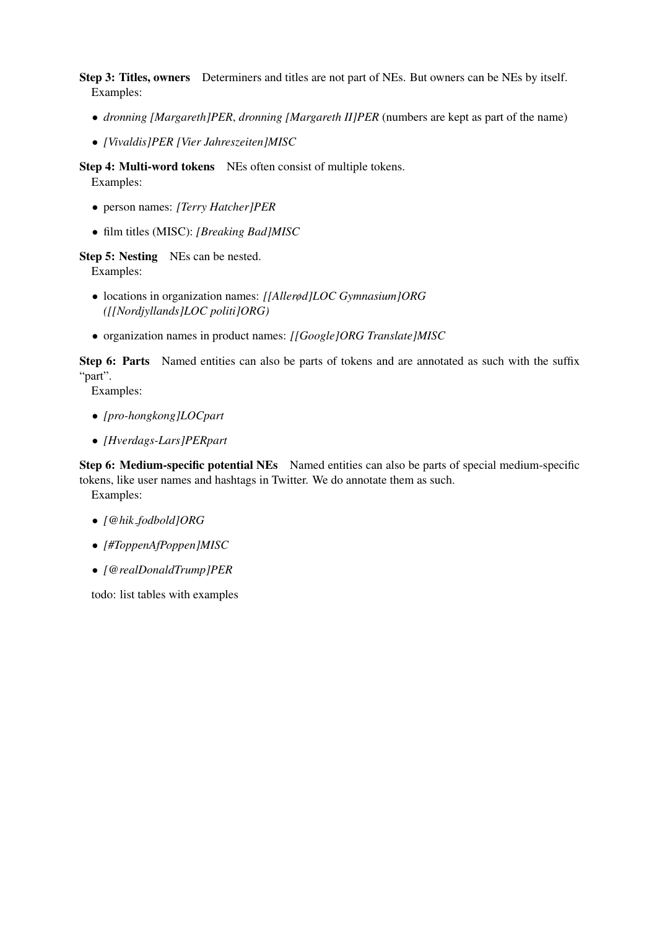Step 3: Titles, owners Determiners and titles are not part of NEs. But owners can be NEs by itself. Examples:

- *dronning [Margareth]PER*, *dronning [Margareth II]PER* (numbers are kept as part of the name)
- *[Vivaldis]PER [Vier Jahreszeiten]MISC*

Step 4: Multi-word tokens NEs often consist of multiple tokens. Examples:

- person names: *[Terry Hatcher]PER*
- film titles (MISC): *[Breaking Bad]MISC*

Step 5: Nesting NEs can be nested. Examples:

- locations in organization names: *[[Allerød]LOC Gymnasium]ORG ([[Nordjyllands]LOC politi]ORG)*
- organization names in product names: *[[Google]ORG Translate]MISC*

Step 6: Parts Named entities can also be parts of tokens and are annotated as such with the suffix "part".

Examples:

- *[pro-hongkong]LOCpart*
- *[Hverdags-Lars]PERpart*

Step 6: Medium-specific potential NEs Named entities can also be parts of special medium-specific tokens, like user names and hashtags in Twitter. We do annotate them as such.

Examples:

- *[@hik fodbold]ORG*
- *[#ToppenAfPoppen]MISC*
- *[@realDonaldTrump]PER*

todo: list tables with examples